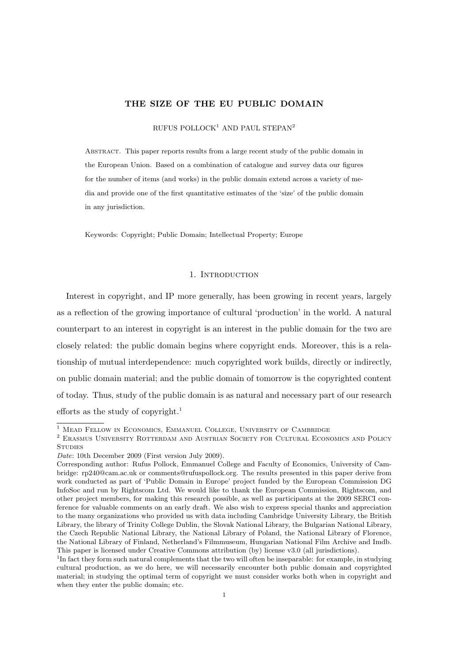# THE SIZE OF THE EU PUBLIC DOMAIN

RUFUS POLLOCK<sup>1</sup> AND PAUL STEPAN<sup>2</sup>

Abstract. This paper reports results from a large recent study of the public domain in the European Union. Based on a combination of catalogue and survey data our figures for the number of items (and works) in the public domain extend across a variety of media and provide one of the first quantitative estimates of the 'size' of the public domain in any jurisdiction.

Keywords: Copyright; Public Domain; Intellectual Property; Europe

# 1. INTRODUCTION

Interest in copyright, and IP more generally, has been growing in recent years, largely as a reflection of the growing importance of cultural 'production' in the world. A natural counterpart to an interest in copyright is an interest in the public domain for the two are closely related: the public domain begins where copyright ends. Moreover, this is a relationship of mutual interdependence: much copyrighted work builds, directly or indirectly, on public domain material; and the public domain of tomorrow is the copyrighted content of today. Thus, study of the public domain is as natural and necessary part of our research efforts as the study of copyright.<sup>1</sup>

Date: 10th December 2009 (First version July 2009).

<sup>&</sup>lt;sup>1</sup> MEAD FELLOW IN ECONOMICS, EMMANUEL COLLEGE, UNIVERSITY OF CAMBRIDGE

<sup>2</sup> Erasmus University Rotterdam and Austrian Society for Cultural Economics and Policy **STUDIES** 

Corresponding author: Rufus Pollock, Emmanuel College and Faculty of Economics, University of Cambridge: rp240@cam.ac.uk or comments@rufuspollock.org. The results presented in this paper derive from work conducted as part of 'Public Domain in Europe' project funded by the European Commission DG InfoSoc and run by Rightscom Ltd. We would like to thank the European Commission, Rightscom, and other project members, for making this research possible, as well as participants at the 2009 SERCI conference for valuable comments on an early draft. We also wish to express special thanks and appreciation to the many organizations who provided us with data including Cambridge University Library, the British Library, the library of Trinity College Dublin, the Slovak National Library, the Bulgarian National Library, the Czech Republic National Library, the National Library of Poland, the National Library of Florence, the National Library of Finland, Netherland's Filmmuseum, Hungarian National Film Archive and Imdb. This paper is licensed under Creative Commons attribution (by) license v3.0 (all jurisdictions).

<sup>&</sup>lt;sup>1</sup>In fact they form such natural complements that the two will often be inseparable: for example, in studying cultural production, as we do here, we will necessarily encounter both public domain and copyrighted material; in studying the optimal term of copyright we must consider works both when in copyright and when they enter the public domain; etc.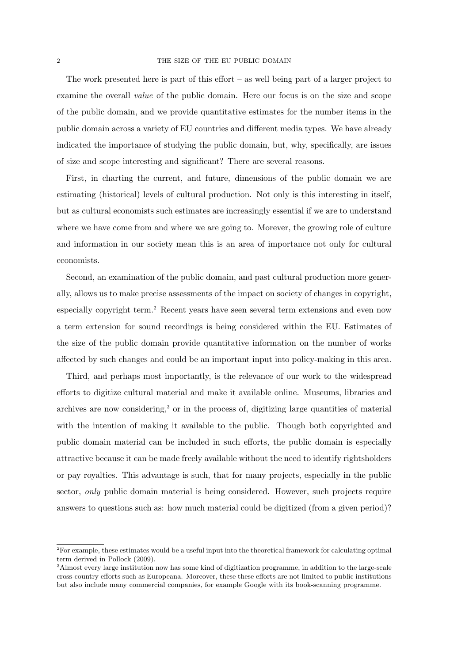The work presented here is part of this effort – as well being part of a larger project to examine the overall value of the public domain. Here our focus is on the size and scope of the public domain, and we provide quantitative estimates for the number items in the public domain across a variety of EU countries and different media types. We have already indicated the importance of studying the public domain, but, why, specifically, are issues of size and scope interesting and significant? There are several reasons.

First, in charting the current, and future, dimensions of the public domain we are estimating (historical) levels of cultural production. Not only is this interesting in itself, but as cultural economists such estimates are increasingly essential if we are to understand where we have come from and where we are going to. Morever, the growing role of culture and information in our society mean this is an area of importance not only for cultural economists.

Second, an examination of the public domain, and past cultural production more generally, allows us to make precise assessments of the impact on society of changes in copyright, especially copyright term.<sup>2</sup> Recent years have seen several term extensions and even now a term extension for sound recordings is being considered within the EU. Estimates of the size of the public domain provide quantitative information on the number of works affected by such changes and could be an important input into policy-making in this area.

Third, and perhaps most importantly, is the relevance of our work to the widespread efforts to digitize cultural material and make it available online. Museums, libraries and archives are now considering,<sup>3</sup> or in the process of, digitizing large quantities of material with the intention of making it available to the public. Though both copyrighted and public domain material can be included in such efforts, the public domain is especially attractive because it can be made freely available without the need to identify rightsholders or pay royalties. This advantage is such, that for many projects, especially in the public sector, *only* public domain material is being considered. However, such projects require answers to questions such as: how much material could be digitized (from a given period)?

<sup>2</sup>For example, these estimates would be a useful input into the theoretical framework for calculating optimal term derived in Pollock (2009).

<sup>3</sup>Almost every large institution now has some kind of digitization programme, in addition to the large-scale cross-country efforts such as Europeana. Moreover, these these efforts are not limited to public institutions but also include many commercial companies, for example Google with its book-scanning programme.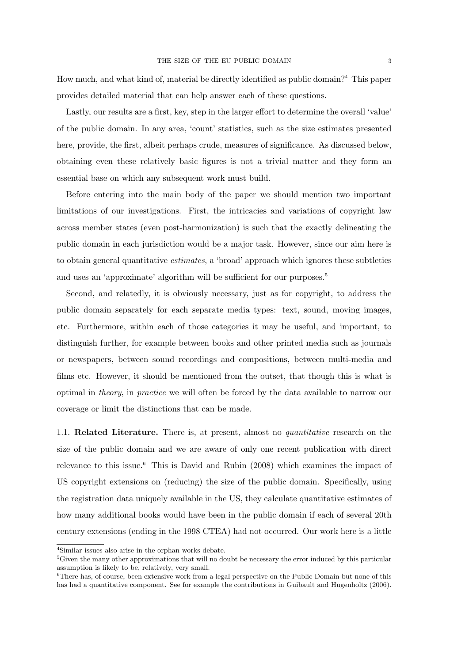How much, and what kind of, material be directly identified as public domain?<sup>4</sup> This paper provides detailed material that can help answer each of these questions.

Lastly, our results are a first, key, step in the larger effort to determine the overall 'value' of the public domain. In any area, 'count' statistics, such as the size estimates presented here, provide, the first, albeit perhaps crude, measures of significance. As discussed below, obtaining even these relatively basic figures is not a trivial matter and they form an essential base on which any subsequent work must build.

Before entering into the main body of the paper we should mention two important limitations of our investigations. First, the intricacies and variations of copyright law across member states (even post-harmonization) is such that the exactly delineating the public domain in each jurisdiction would be a major task. However, since our aim here is to obtain general quantitative estimates, a 'broad' approach which ignores these subtleties and uses an 'approximate' algorithm will be sufficient for our purposes.<sup>5</sup>

Second, and relatedly, it is obviously necessary, just as for copyright, to address the public domain separately for each separate media types: text, sound, moving images, etc. Furthermore, within each of those categories it may be useful, and important, to distinguish further, for example between books and other printed media such as journals or newspapers, between sound recordings and compositions, between multi-media and films etc. However, it should be mentioned from the outset, that though this is what is optimal in theory, in practice we will often be forced by the data available to narrow our coverage or limit the distinctions that can be made.

1.1. Related Literature. There is, at present, almost no *quantitative* research on the size of the public domain and we are aware of only one recent publication with direct relevance to this issue.<sup>6</sup> This is David and Rubin  $(2008)$  which examines the impact of US copyright extensions on (reducing) the size of the public domain. Specifically, using the registration data uniquely available in the US, they calculate quantitative estimates of how many additional books would have been in the public domain if each of several 20th century extensions (ending in the 1998 CTEA) had not occurred. Our work here is a little

<sup>4</sup>Similar issues also arise in the orphan works debate.

<sup>&</sup>lt;sup>5</sup>Given the many other approximations that will no doubt be necessary the error induced by this particular assumption is likely to be, relatively, very small.

<sup>&</sup>lt;sup>6</sup>There has, of course, been extensive work from a legal perspective on the Public Domain but none of this has had a quantitative component. See for example the contributions in Guibault and Hugenholtz (2006).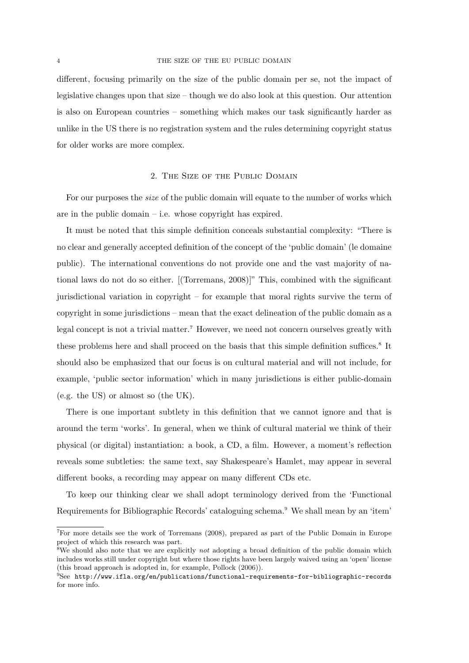different, focusing primarily on the size of the public domain per se, not the impact of legislative changes upon that size – though we do also look at this question. Our attention is also on European countries – something which makes our task significantly harder as unlike in the US there is no registration system and the rules determining copyright status for older works are more complex.

#### 2. The Size of the Public Domain

For our purposes the size of the public domain will equate to the number of works which are in the public domain – i.e. whose copyright has expired.

It must be noted that this simple definition conceals substantial complexity: "There is no clear and generally accepted definition of the concept of the 'public domain' (le domaine public). The international conventions do not provide one and the vast majority of national laws do not do so either. [(Torremans, 2008)]" This, combined with the significant jurisdictional variation in copyright – for example that moral rights survive the term of copyright in some jurisdictions – mean that the exact delineation of the public domain as a legal concept is not a trivial matter.<sup>7</sup> However, we need not concern ourselves greatly with these problems here and shall proceed on the basis that this simple definition suffices.<sup>8</sup> It should also be emphasized that our focus is on cultural material and will not include, for example, 'public sector information' which in many jurisdictions is either public-domain (e.g. the US) or almost so (the UK).

There is one important subtlety in this definition that we cannot ignore and that is around the term 'works'. In general, when we think of cultural material we think of their physical (or digital) instantiation: a book, a CD, a film. However, a moment's reflection reveals some subtleties: the same text, say Shakespeare's Hamlet, may appear in several different books, a recording may appear on many different CDs etc.

To keep our thinking clear we shall adopt terminology derived from the 'Functional Requirements for Bibliographic Records' cataloguing schema.<sup>9</sup> We shall mean by an 'item'

<sup>7</sup>For more details see the work of Torremans (2008), prepared as part of the Public Domain in Europe project of which this research was part.

<sup>&</sup>lt;sup>8</sup>We should also note that we are explicitly *not* adopting a broad definition of the public domain which includes works still under copyright but where those rights have been largely waived using an 'open' license (this broad approach is adopted in, for example, Pollock (2006)).

 $9See$  http://www.ifla.org/en/publications/functional-requirements-for-bibliographic-records for more info.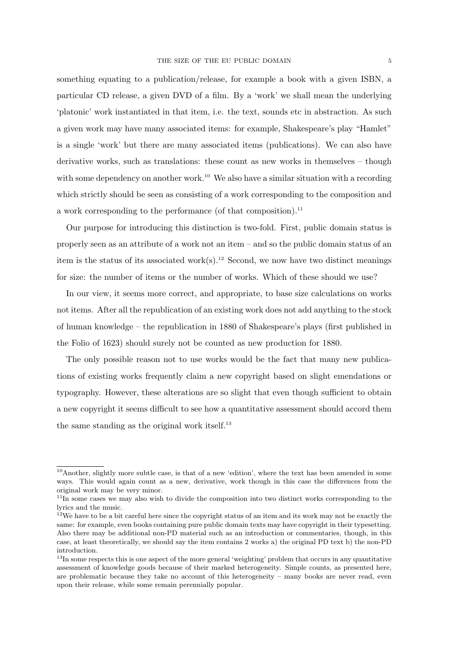something equating to a publication/release, for example a book with a given ISBN, a particular CD release, a given DVD of a film. By a 'work' we shall mean the underlying 'platonic' work instantiated in that item, i.e. the text, sounds etc in abstraction. As such a given work may have many associated items: for example, Shakespeare's play "Hamlet" is a single 'work' but there are many associated items (publications). We can also have derivative works, such as translations: these count as new works in themselves – though with some dependency on another work.<sup>10</sup> We also have a similar situation with a recording which strictly should be seen as consisting of a work corresponding to the composition and a work corresponding to the performance (of that composition).<sup>11</sup>

Our purpose for introducing this distinction is two-fold. First, public domain status is properly seen as an attribute of a work not an item – and so the public domain status of an item is the status of its associated work(s).<sup>12</sup> Second, we now have two distinct meanings for size: the number of items or the number of works. Which of these should we use?

In our view, it seems more correct, and appropriate, to base size calculations on works not items. After all the republication of an existing work does not add anything to the stock of human knowledge – the republication in 1880 of Shakespeare's plays (first published in the Folio of 1623) should surely not be counted as new production for 1880.

The only possible reason not to use works would be the fact that many new publications of existing works frequently claim a new copyright based on slight emendations or typography. However, these alterations are so slight that even though sufficient to obtain a new copyright it seems difficult to see how a quantitative assessment should accord them the same standing as the original work itself.<sup>13</sup>

<sup>10</sup>Another, slightly more subtle case, is that of a new 'edition', where the text has been amended in some ways. This would again count as a new, derivative, work though in this case the differences from the original work may be very minor.

 $11$ In some cases we may also wish to divide the composition into two distinct works corresponding to the lyrics and the music.

<sup>&</sup>lt;sup>12</sup>We have to be a bit careful here since the copyright status of an item and its work may not be exactly the same: for example, even books containing pure public domain texts may have copyright in their typesetting. Also there may be additional non-PD material such as an introduction or commentaries, though, in this case, at least theoretically, we should say the item contains 2 works a) the original PD text b) the non-PD introduction.

 $13$ In some respects this is one aspect of the more general 'weighting' problem that occurs in any quantitative assessment of knowledge goods because of their marked heterogeneity. Simple counts, as presented here, are problematic because they take no account of this heterogeneity – many books are never read, even upon their release, while some remain perennially popular.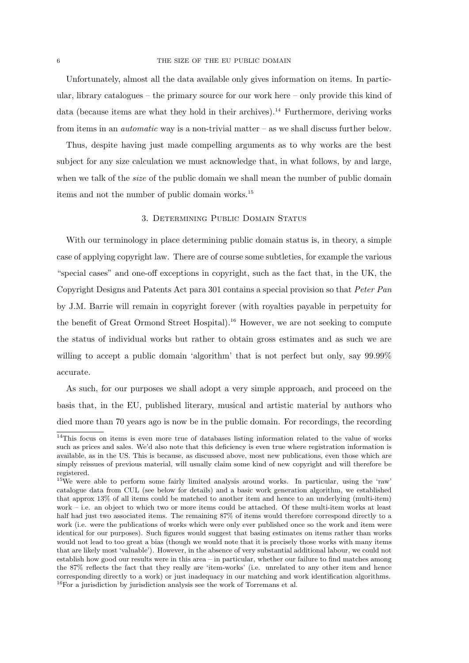Unfortunately, almost all the data available only gives information on items. In particular, library catalogues – the primary source for our work here – only provide this kind of data (because items are what they hold in their archives).<sup>14</sup> Furthermore, deriving works from items in an *automatic* way is a non-trivial matter – as we shall discuss further below.

Thus, despite having just made compelling arguments as to why works are the best subject for any size calculation we must acknowledge that, in what follows, by and large, when we talk of the *size* of the public domain we shall mean the number of public domain items and not the number of public domain works.<sup>15</sup>

#### 3. Determining Public Domain Status

With our terminology in place determining public domain status is, in theory, a simple case of applying copyright law. There are of course some subtleties, for example the various "special cases" and one-off exceptions in copyright, such as the fact that, in the UK, the Copyright Designs and Patents Act para 301 contains a special provision so that Peter Pan by J.M. Barrie will remain in copyright forever (with royalties payable in perpetuity for the benefit of Great Ormond Street Hospital).<sup>16</sup> However, we are not seeking to compute the status of individual works but rather to obtain gross estimates and as such we are willing to accept a public domain 'algorithm' that is not perfect but only, say 99.99% accurate.

As such, for our purposes we shall adopt a very simple approach, and proceed on the basis that, in the EU, published literary, musical and artistic material by authors who died more than 70 years ago is now be in the public domain. For recordings, the recording

<sup>&</sup>lt;sup>14</sup>This focus on items is even more true of databases listing information related to the value of works such as prices and sales. We'd also note that this deficiency is even true where registration information is available, as in the US. This is because, as discussed above, most new publications, even those which are simply reissues of previous material, will usually claim some kind of new copyright and will therefore be registered.

<sup>&</sup>lt;sup>15</sup>We were able to perform some fairly limited analysis around works. In particular, using the 'raw' catalogue data from CUL (see below for details) and a basic work generation algorithm, we established that approx 13% of all items could be matched to another item and hence to an underlying (multi-item) work – i.e. an object to which two or more items could be attached. Of these multi-item works at least half had just two associated items. The remaining 87% of items would therefore correspond directly to a work (i.e. were the publications of works which were only ever published once so the work and item were identical for our purposes). Such figures would suggest that basing estimates on items rather than works would not lead to too great a bias (though we would note that it is precisely those works with many items that are likely most 'valuable'). However, in the absence of very substantial additional labour, we could not establish how good our results were in this area – in particular, whether our failure to find matches among the 87% reflects the fact that they really are 'item-works' (i.e. unrelated to any other item and hence corresponding directly to a work) or just inadequacy in our matching and work identification algorithms.  $16$ For a jurisdiction by jurisdiction analysis see the work of Torremans et al.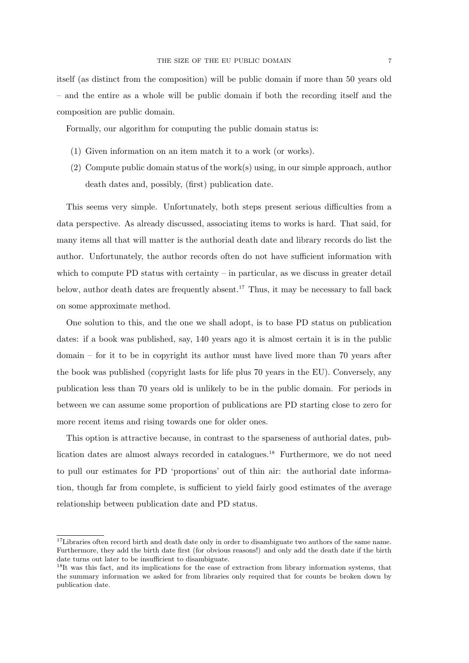itself (as distinct from the composition) will be public domain if more than 50 years old – and the entire as a whole will be public domain if both the recording itself and the composition are public domain.

Formally, our algorithm for computing the public domain status is:

- (1) Given information on an item match it to a work (or works).
- (2) Compute public domain status of the work(s) using, in our simple approach, author death dates and, possibly, (first) publication date.

This seems very simple. Unfortunately, both steps present serious difficulties from a data perspective. As already discussed, associating items to works is hard. That said, for many items all that will matter is the authorial death date and library records do list the author. Unfortunately, the author records often do not have sufficient information with which to compute  $PD$  status with certainty – in particular, as we discuss in greater detail below, author death dates are frequently absent.<sup>17</sup> Thus, it may be necessary to fall back on some approximate method.

One solution to this, and the one we shall adopt, is to base PD status on publication dates: if a book was published, say, 140 years ago it is almost certain it is in the public domain – for it to be in copyright its author must have lived more than 70 years after the book was published (copyright lasts for life plus 70 years in the EU). Conversely, any publication less than 70 years old is unlikely to be in the public domain. For periods in between we can assume some proportion of publications are PD starting close to zero for more recent items and rising towards one for older ones.

This option is attractive because, in contrast to the sparseness of authorial dates, publication dates are almost always recorded in catalogues.<sup>18</sup> Furthermore, we do not need to pull our estimates for PD 'proportions' out of thin air: the authorial date information, though far from complete, is sufficient to yield fairly good estimates of the average relationship between publication date and PD status.

 $17$ Libraries often record birth and death date only in order to disambiguate two authors of the same name. Furthermore, they add the birth date first (for obvious reasons!) and only add the death date if the birth date turns out later to be insufficient to disambiguate.

<sup>&</sup>lt;sup>18</sup>It was this fact, and its implications for the ease of extraction from library information systems, that the summary information we asked for from libraries only required that for counts be broken down by publication date.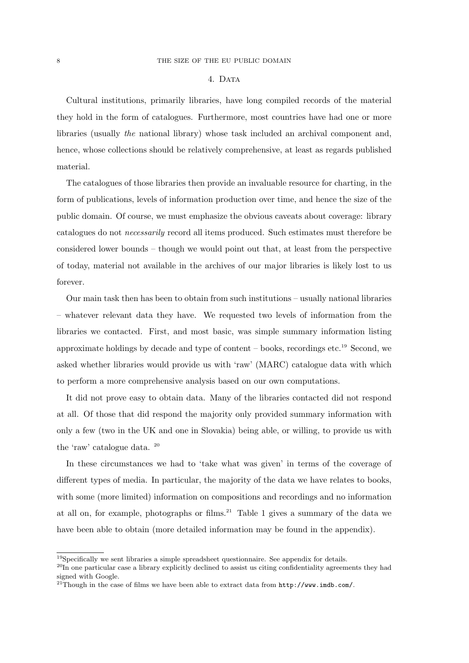## 4. Data

Cultural institutions, primarily libraries, have long compiled records of the material they hold in the form of catalogues. Furthermore, most countries have had one or more libraries (usually the national library) whose task included an archival component and, hence, whose collections should be relatively comprehensive, at least as regards published material.

The catalogues of those libraries then provide an invaluable resource for charting, in the form of publications, levels of information production over time, and hence the size of the public domain. Of course, we must emphasize the obvious caveats about coverage: library catalogues do not necessarily record all items produced. Such estimates must therefore be considered lower bounds – though we would point out that, at least from the perspective of today, material not available in the archives of our major libraries is likely lost to us forever.

Our main task then has been to obtain from such institutions – usually national libraries – whatever relevant data they have. We requested two levels of information from the libraries we contacted. First, and most basic, was simple summary information listing approximate holdings by decade and type of content – books, recordings etc.<sup>19</sup> Second, we asked whether libraries would provide us with 'raw' (MARC) catalogue data with which to perform a more comprehensive analysis based on our own computations.

It did not prove easy to obtain data. Many of the libraries contacted did not respond at all. Of those that did respond the majority only provided summary information with only a few (two in the UK and one in Slovakia) being able, or willing, to provide us with the 'raw' catalogue data. <sup>20</sup>

In these circumstances we had to 'take what was given' in terms of the coverage of different types of media. In particular, the majority of the data we have relates to books, with some (more limited) information on compositions and recordings and no information at all on, for example, photographs or films. $21$  Table 1 gives a summary of the data we have been able to obtain (more detailed information may be found in the appendix).

<sup>19</sup>Specifically we sent libraries a simple spreadsheet questionnaire. See appendix for details.

<sup>&</sup>lt;sup>20</sup>In one particular case a library explicitly declined to assist us citing confidentiality agreements they had signed with Google.

<sup>21</sup>Though in the case of films we have been able to extract data from http://www.imdb.com/.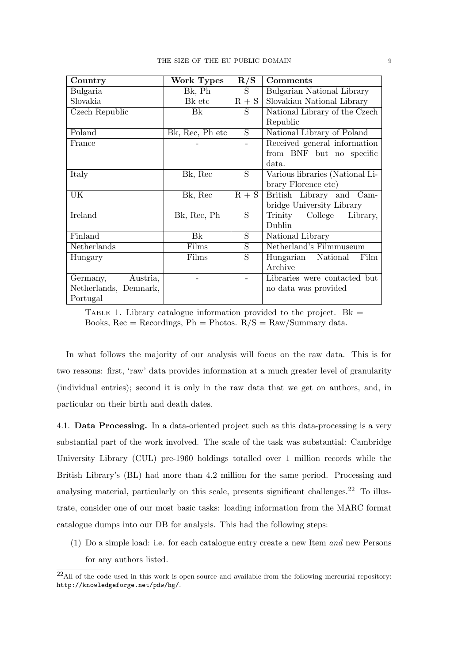| Country               | Work Types      | R/S            | <b>Comments</b>                 |
|-----------------------|-----------------|----------------|---------------------------------|
| Bulgaria              | Bk, Ph          | S.             | Bulgarian National Library      |
| Slovakia              | Bk etc          | $R + S$        | Slovakian National Library      |
| Czech Republic        | Bk              | S              | National Library of the Czech   |
|                       |                 |                | Republic                        |
| Poland                | Bk, Rec, Ph etc | S              | National Library of Poland      |
| France                |                 |                | Received general information    |
|                       |                 |                | from BNF but no specific        |
|                       |                 |                | data.                           |
| Italy                 | Bk, Rec         | $\overline{S}$ | Various libraries (National Li- |
|                       |                 |                | brary Florence etc)             |
| UK                    | Bk, Rec         | $R + S$        | British Library and Cam-        |
|                       |                 |                | bridge University Library       |
| Ireland               | Bk, Rec, Ph     | $\overline{S}$ | College<br>Trinity<br>Library,  |
|                       |                 |                | Dublin                          |
| Finland               | Bk              | S              | National Library                |
| Netherlands           | Films           | $\overline{S}$ | Netherland's Filmmuseum         |
| Hungary               | Films           | S              | Hungarian National<br>Film      |
|                       |                 |                | Archive                         |
| Austria,<br>Germany,  |                 |                | Libraries were contacted but    |
| Netherlands, Denmark, |                 |                | no data was provided            |
| Portugal              |                 |                |                                 |

TABLE 1. Library catalogue information provided to the project.  $Bk =$ Books,  $Rec = Recordings$ ,  $Ph = Photos$ .  $R/S = Raw/Summary$  data.

In what follows the majority of our analysis will focus on the raw data. This is for two reasons: first, 'raw' data provides information at a much greater level of granularity (individual entries); second it is only in the raw data that we get on authors, and, in particular on their birth and death dates.

4.1. Data Processing. In a data-oriented project such as this data-processing is a very substantial part of the work involved. The scale of the task was substantial: Cambridge University Library (CUL) pre-1960 holdings totalled over 1 million records while the British Library's (BL) had more than 4.2 million for the same period. Processing and analysing material, particularly on this scale, presents significant challenges.<sup>22</sup> To illustrate, consider one of our most basic tasks: loading information from the MARC format catalogue dumps into our DB for analysis. This had the following steps:

(1) Do a simple load: i.e. for each catalogue entry create a new Item and new Persons for any authors listed.

 $^{22}$ All of the code used in this work is open-source and available from the following mercurial repository: http://knowledgeforge.net/pdw/hg/.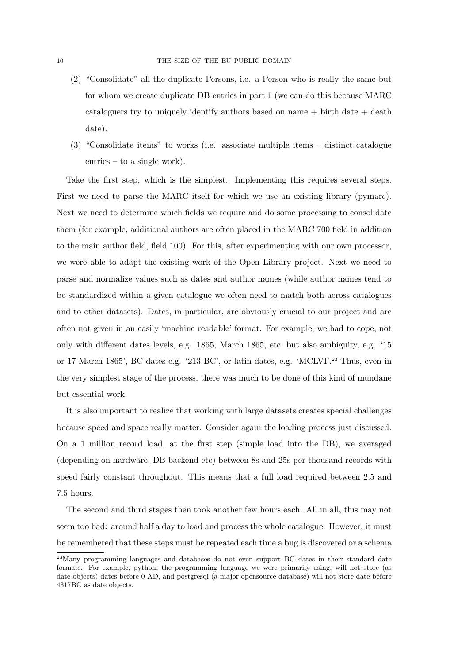- (2) "Consolidate" all the duplicate Persons, i.e. a Person who is really the same but for whom we create duplicate DB entries in part 1 (we can do this because MARC cataloguers try to uniquely identify authors based on name + birth date + death date).
- (3) "Consolidate items" to works (i.e. associate multiple items distinct catalogue entries – to a single work).

Take the first step, which is the simplest. Implementing this requires several steps. First we need to parse the MARC itself for which we use an existing library (pymarc). Next we need to determine which fields we require and do some processing to consolidate them (for example, additional authors are often placed in the MARC 700 field in addition to the main author field, field 100). For this, after experimenting with our own processor, we were able to adapt the existing work of the Open Library project. Next we need to parse and normalize values such as dates and author names (while author names tend to be standardized within a given catalogue we often need to match both across catalogues and to other datasets). Dates, in particular, are obviously crucial to our project and are often not given in an easily 'machine readable' format. For example, we had to cope, not only with different dates levels, e.g. 1865, March 1865, etc, but also ambiguity, e.g. '15 or 17 March 1865', BC dates e.g. '213 BC', or latin dates, e.g. 'MCLVI'.<sup>23</sup> Thus, even in the very simplest stage of the process, there was much to be done of this kind of mundane but essential work.

It is also important to realize that working with large datasets creates special challenges because speed and space really matter. Consider again the loading process just discussed. On a 1 million record load, at the first step (simple load into the DB), we averaged (depending on hardware, DB backend etc) between 8s and 25s per thousand records with speed fairly constant throughout. This means that a full load required between 2.5 and 7.5 hours.

The second and third stages then took another few hours each. All in all, this may not seem too bad: around half a day to load and process the whole catalogue. However, it must be remembered that these steps must be repeated each time a bug is discovered or a schema

<sup>&</sup>lt;sup>23</sup>Many programming languages and databases do not even support BC dates in their standard date formats. For example, python, the programming language we were primarily using, will not store (as date objects) dates before 0 AD, and postgresql (a major opensource database) will not store date before 4317BC as date objects.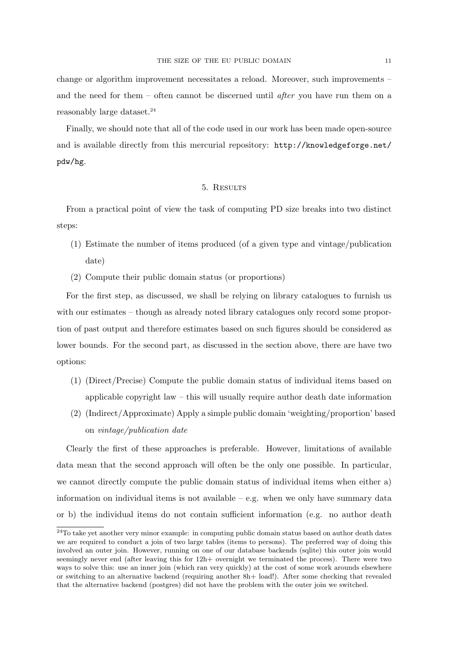change or algorithm improvement necessitates a reload. Moreover, such improvements – and the need for them – often cannot be discerned until after you have run them on a reasonably large dataset.<sup>24</sup>

Finally, we should note that all of the code used in our work has been made open-source and is available directly from this mercurial repository: http://knowledgeforge.net/ pdw/hg.

#### 5. Results

From a practical point of view the task of computing PD size breaks into two distinct steps:

- (1) Estimate the number of items produced (of a given type and vintage/publication date)
- (2) Compute their public domain status (or proportions)

For the first step, as discussed, we shall be relying on library catalogues to furnish us with our estimates – though as already noted library catalogues only record some proportion of past output and therefore estimates based on such figures should be considered as lower bounds. For the second part, as discussed in the section above, there are have two options:

- (1) (Direct/Precise) Compute the public domain status of individual items based on applicable copyright law – this will usually require author death date information
- (2) (Indirect/Approximate) Apply a simple public domain 'weighting/proportion' based on vintage/publication date

Clearly the first of these approaches is preferable. However, limitations of available data mean that the second approach will often be the only one possible. In particular, we cannot directly compute the public domain status of individual items when either a) information on individual items is not available  $-$  e.g. when we only have summary data or b) the individual items do not contain sufficient information (e.g. no author death

<sup>&</sup>lt;sup>24</sup>To take yet another very minor example: in computing public domain status based on author death dates we are required to conduct a join of two large tables (items to persons). The preferred way of doing this involved an outer join. However, running on one of our database backends (sqlite) this outer join would seemingly never end (after leaving this for 12h+ overnight we terminated the process). There were two ways to solve this: use an inner join (which ran very quickly) at the cost of some work arounds elsewhere or switching to an alternative backend (requiring another 8h+ load!). After some checking that revealed that the alternative backend (postgres) did not have the problem with the outer join we switched.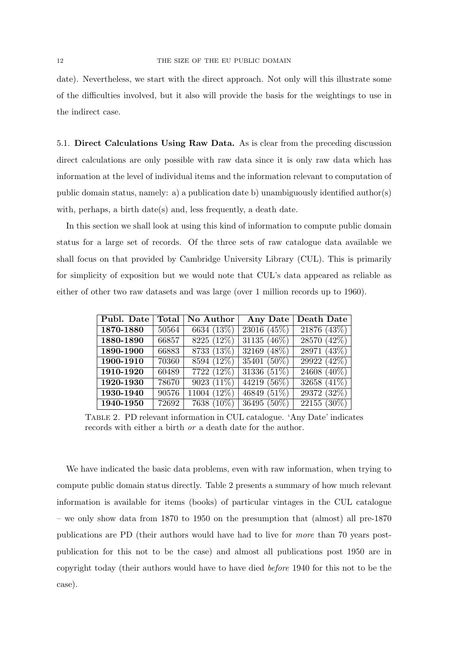date). Nevertheless, we start with the direct approach. Not only will this illustrate some of the difficulties involved, but it also will provide the basis for the weightings to use in the indirect case.

5.1. Direct Calculations Using Raw Data. As is clear from the preceding discussion direct calculations are only possible with raw data since it is only raw data which has information at the level of individual items and the information relevant to computation of public domain status, namely: a) a publication date b) unambiguously identified author(s) with, perhaps, a birth date(s) and, less frequently, a death date.

In this section we shall look at using this kind of information to compute public domain status for a large set of records. Of the three sets of raw catalogue data available we shall focus on that provided by Cambridge University Library (CUL). This is primarily for simplicity of exposition but we would note that CUL's data appeared as reliable as either of other two raw datasets and was large (over 1 million records up to 1960).

| Publ. Date |       | Total   No Author        | Any Date       | Death Date               |
|------------|-------|--------------------------|----------------|--------------------------|
| 1870-1880  | 50564 | 6634 (13%)               | 23016 (45%)    | 21876(43%)               |
| 1880-1890  | 66857 | 8225 (12%)               | $31135 (46\%)$ | 28570 (42%)              |
| 1890-1900  | 66883 | 8733(13%)                | 32169 (48%)    | 28971 (43%)              |
| 1900-1910  | 70360 | $8594(12\%)$             | 35401 (50%)    | 29922 (42%)              |
| 1910-1920  | 60489 | $\overline{7722} (12\%)$ | 31336 (51%)    | $24608(40\%)$            |
| 1920-1930  | 78670 | $9023(11\%)$             | 44219 $(56\%)$ | 32658 $(41\%)$           |
| 1930-1940  | 90576 | 11004 (12%)              | 46849 $(51\%)$ | 29372 (32%)              |
| 1940-1950  | 72692 | 7638 (10%)               | $36495(50\%)$  | $\overline{22155}$ (30%) |

Table 2. PD relevant information in CUL catalogue. 'Any Date' indicates records with either a birth or a death date for the author.

We have indicated the basic data problems, even with raw information, when trying to compute public domain status directly. Table 2 presents a summary of how much relevant information is available for items (books) of particular vintages in the CUL catalogue – we only show data from 1870 to 1950 on the presumption that (almost) all pre-1870 publications are PD (their authors would have had to live for more than 70 years postpublication for this not to be the case) and almost all publications post 1950 are in copyright today (their authors would have to have died before 1940 for this not to be the case).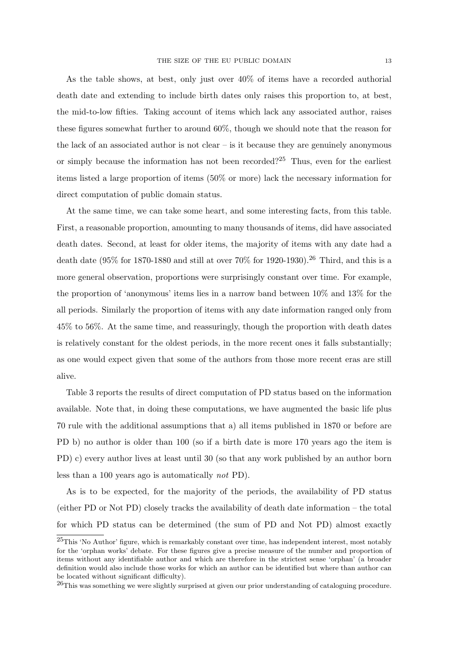As the table shows, at best, only just over 40% of items have a recorded authorial death date and extending to include birth dates only raises this proportion to, at best, the mid-to-low fifties. Taking account of items which lack any associated author, raises these figures somewhat further to around 60%, though we should note that the reason for the lack of an associated author is not clear  $-$  is it because they are genuinely anonymous or simply because the information has not been recorded?<sup>25</sup> Thus, even for the earliest items listed a large proportion of items (50% or more) lack the necessary information for direct computation of public domain status.

At the same time, we can take some heart, and some interesting facts, from this table. First, a reasonable proportion, amounting to many thousands of items, did have associated death dates. Second, at least for older items, the majority of items with any date had a death date (95% for 1870-1880 and still at over  $70\%$  for 1920-1930).<sup>26</sup> Third, and this is a more general observation, proportions were surprisingly constant over time. For example, the proportion of 'anonymous' items lies in a narrow band between 10% and 13% for the all periods. Similarly the proportion of items with any date information ranged only from 45% to 56%. At the same time, and reassuringly, though the proportion with death dates is relatively constant for the oldest periods, in the more recent ones it falls substantially; as one would expect given that some of the authors from those more recent eras are still alive.

Table 3 reports the results of direct computation of PD status based on the information available. Note that, in doing these computations, we have augmented the basic life plus 70 rule with the additional assumptions that a) all items published in 1870 or before are PD b) no author is older than 100 (so if a birth date is more 170 years ago the item is PD) c) every author lives at least until 30 (so that any work published by an author born less than a 100 years ago is automatically not PD).

As is to be expected, for the majority of the periods, the availability of PD status (either PD or Not PD) closely tracks the availability of death date information – the total for which PD status can be determined (the sum of PD and Not PD) almost exactly

<sup>25</sup>This 'No Author' figure, which is remarkably constant over time, has independent interest, most notably for the 'orphan works' debate. For these figures give a precise measure of the number and proportion of items without any identifiable author and which are therefore in the strictest sense 'orphan' (a broader definition would also include those works for which an author can be identified but where than author can be located without significant difficulty).

 $^{26}$ This was something we were slightly surprised at given our prior understanding of cataloguing procedure.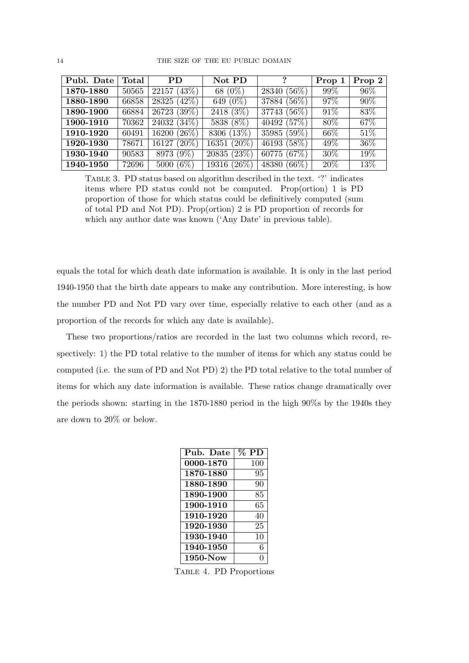| Publ. Date | Total | <b>PD</b>                | Not PD                    | $\mathcal{L}$  | Prop 1 | Prop 2            |
|------------|-------|--------------------------|---------------------------|----------------|--------|-------------------|
| 1870-1880  | 50565 | 22157(43%)               | 68 $(0\%)$                | 28340 (56%)    | 99%    | $96\%$            |
| 1880-1890  | 66858 | 28325 (42\%)             | 649 (0%)                  | $37884 (56\%)$ | $97\%$ | $90\%$            |
| 1890-1900  | 66884 | 26723 (39%)              | 2418(3%)                  | 37743 (56%)    | 91\%   | 83\%              |
| 1900-1910  | 70362 | $24032(34\%)$            | 5838 (8%)                 | 40492(57%)     | 80\%   | 67\%              |
| 1910-1920  | 60491 | 16200 $(26\%)$           | 8306 (13\%)               | 35985 (59%)    | 66\%   | $\overline{51}\%$ |
| 1920-1930  | 78671 | $\overline{16127}$ (20%) | $\overline{16351} (20\%)$ | 46193 (58%)    | 49\%   | $36\%$            |
| 1930-1940  | 90583 | 8973 (9%)                | 20835(23%)                | 60775 $(67%)$  | 30\%   | 19%               |
| 1940-1950  | 72696 | 5000 $(6\%)$             | 19316 (26\%)              | 48380 (66\%)   | 20%    | 13%               |

Table 3. PD status based on algorithm described in the text. '?' indicates items where PD status could not be computed. Prop(ortion) 1 is PD proportion of those for which status could be definitively computed (sum of total PD and Not PD). Prop(ortion) 2 is PD proportion of records for which any author date was known ('Any Date' in previous table).

equals the total for which death date information is available. It is only in the last period 1940-1950 that the birth date appears to make any contribution. More interesting, is how the number PD and Not PD vary over time, especially relative to each other (and as a proportion of the records for which any date is available).

These two proportions/ratios are recorded in the last two columns which record, respectively: 1) the PD total relative to the number of items for which any status could be computed (i.e. the sum of PD and Not PD) 2) the PD total relative to the total number of items for which any date information is available. These ratios change dramatically over the periods shown: starting in the 1870-1880 period in the high 90%s by the 1940s they are down to 20% or below.

| Pub. Date | <b>PD</b> |
|-----------|-----------|
| 0000-1870 | 100       |
| 1870-1880 | 95        |
| 1880-1890 | 90        |
| 1890-1900 | 85        |
| 1900-1910 | 65        |
| 1910-1920 | 40        |
| 1920-1930 | 25        |
| 1930-1940 | 10        |
| 1940-1950 | 6         |
| 1950-Now  | 0         |

Table 4. PD Proportions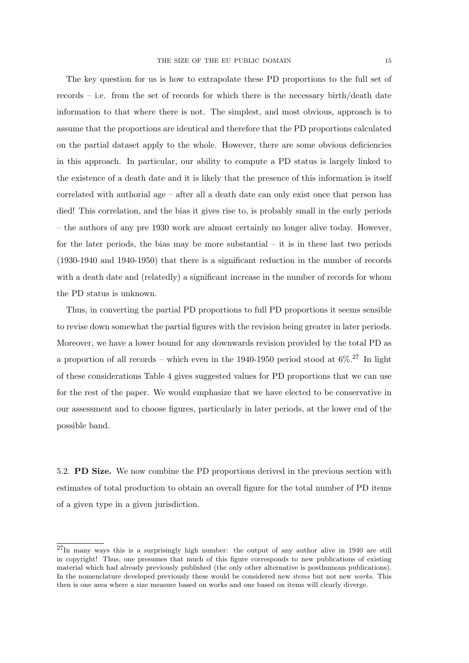The key question for us is how to extrapolate these PD proportions to the full set of records – i.e. from the set of records for which there is the necessary birth/death date information to that where there is not. The simplest, and most obvious, approach is to assume that the proportions are identical and therefore that the PD proportions calculated on the partial dataset apply to the whole. However, there are some obvious deficiencies in this approach. In particular, our ability to compute a PD status is largely linked to the existence of a death date and it is likely that the presence of this information is itself correlated with authorial age – after all a death date can only exist once that person has died! This correlation, and the bias it gives rise to, is probably small in the early periods – the authors of any pre 1930 work are almost certainly no longer alive today. However, for the later periods, the bias may be more substantial  $-$  it is in these last two periods (1930-1940 and 1940-1950) that there is a significant reduction in the number of records with a death date and (relatedly) a significant increase in the number of records for whom the PD status is unknown.

Thus, in converting the partial PD proportions to full PD proportions it seems sensible to revise down somewhat the partial figures with the revision being greater in later periods. Moreover, we have a lower bound for any downwards revision provided by the total PD as a proportion of all records – which even in the 1940-1950 period stood at  $6\%$ <sup>27</sup> In light of these considerations Table 4 gives suggested values for PD proportions that we can use for the rest of the paper. We would emphasize that we have elected to be conservative in our assessment and to choose figures, particularly in later periods, at the lower end of the possible band.

5.2. PD Size. We now combine the PD proportions derived in the previous section with estimates of total production to obtain an overall figure for the total number of PD items of a given type in a given jurisdiction.

<sup>27</sup>In many ways this is a surprisingly high number: the output of any author alive in 1940 are still in copyright! Thus, one presumes that much of this figure corresponds to new publications of existing material which had already previously published (the only other alternative is posthumous publications). In the nomenclature developed previously these would be considered new *items* but not new *works*. This then is one area where a size measure based on works and one based on items will clearly diverge.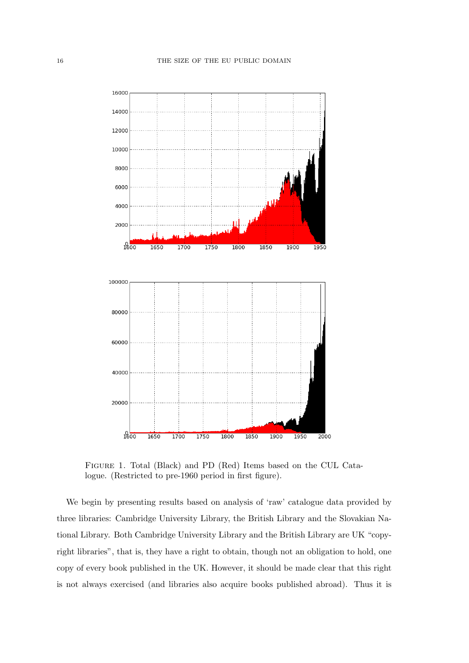

Figure 1. Total (Black) and PD (Red) Items based on the CUL Catalogue. (Restricted to pre-1960 period in first figure).

We begin by presenting results based on analysis of 'raw' catalogue data provided by three libraries: Cambridge University Library, the British Library and the Slovakian National Library. Both Cambridge University Library and the British Library are UK "copyright libraries", that is, they have a right to obtain, though not an obligation to hold, one copy of every book published in the UK. However, it should be made clear that this right is not always exercised (and libraries also acquire books published abroad). Thus it is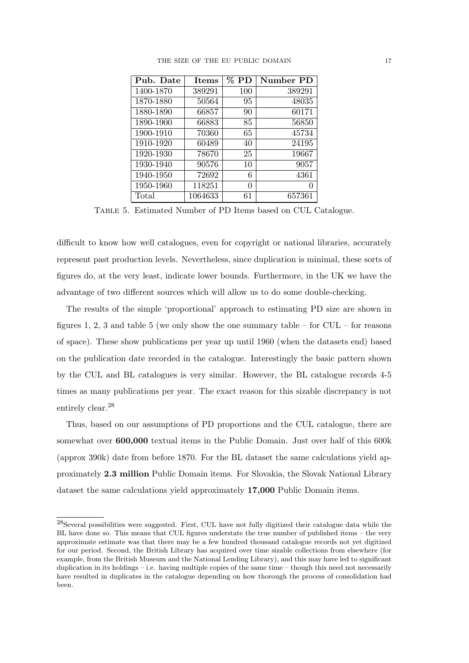| Pub. Date | <b>Items</b> | $\%$ PD | Number PD |
|-----------|--------------|---------|-----------|
| 1400-1870 | 389291       | 100     | 389291    |
| 1870-1880 | 50564        | 95      | 48035     |
| 1880-1890 | 66857        | 90      | 60171     |
| 1890-1900 | 66883        | 85      | 56850     |
| 1900-1910 | 70360        | 65      | 45734     |
| 1910-1920 | 60489        | 40      | 24195     |
| 1920-1930 | 78670        | 25      | 19667     |
| 1930-1940 | 90576        | 10      | 9057      |
| 1940-1950 | 72692        | 6       | 4361      |
| 1950-1960 | 118251       | 0       |           |
| Total     | 1064633      | 61      | 657361    |

Table 5. Estimated Number of PD Items based on CUL Catalogue.

difficult to know how well catalogues, even for copyright or national libraries, accurately represent past production levels. Nevertheless, since duplication is minimal, these sorts of figures do, at the very least, indicate lower bounds. Furthermore, in the UK we have the advantage of two different sources which will allow us to do some double-checking.

The results of the simple 'proportional' approach to estimating PD size are shown in figures 1, 2, 3 and table 5 (we only show the one summary table – for CUL – for reasons of space). These show publications per year up until 1960 (when the datasets end) based on the publication date recorded in the catalogue. Interestingly the basic pattern shown by the CUL and BL catalogues is very similar. However, the BL catalogue records 4-5 times as many publications per year. The exact reason for this sizable discrepancy is not entirely clear.<sup>28</sup>

Thus, based on our assumptions of PD proportions and the CUL catalogue, there are somewhat over 600,000 textual items in the Public Domain. Just over half of this 600k (approx 390k) date from before 1870. For the BL dataset the same calculations yield approximately 2.3 million Public Domain items. For Slovakia, the Slovak National Library dataset the same calculations yield approximately 17,000 Public Domain items.

<sup>28</sup>Several possibilities were suggested. First, CUL have not fully digitized their catalogue data while the BL have done so. This means that CUL figures understate the true number of published items – the very approximate estimate was that there may be a few hundred thousand catalogue records not yet digitized for our period. Second, the British Library has acquired over time sizable collections from elsewhere (for example, from the British Museum and the National Lending Library), and this may have led to significant duplication in its holdings – i.e. having multiple copies of the same time – though this need not necessarily have resulted in duplicates in the catalogue depending on how thorough the process of consolidation had been.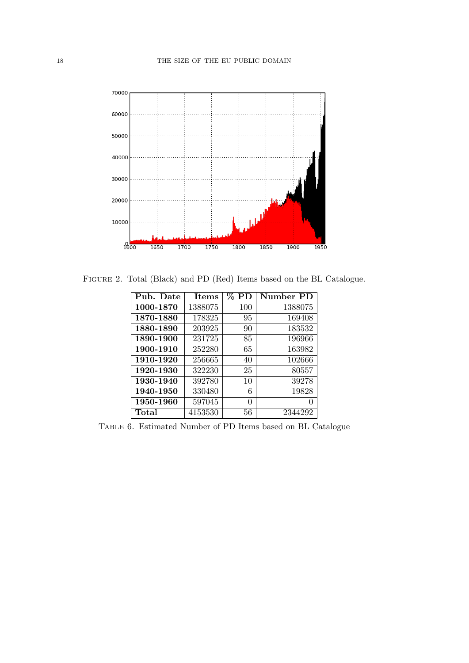

Figure 2. Total (Black) and PD (Red) Items based on the BL Catalogue.

| Pub. Date | <b>Items</b> | $\%$ PD | Number PD |
|-----------|--------------|---------|-----------|
| 1000-1870 | 1388075      | 100     | 1388075   |
| 1870-1880 | 178325       | 95      | 169408    |
| 1880-1890 | 203925       | 90      | 183532    |
| 1890-1900 | 231725       | 85      | 196966    |
| 1900-1910 | 252280       | 65      | 163982    |
| 1910-1920 | 256665       | 40      | 102666    |
| 1920-1930 | 322230       | 25      | 80557     |
| 1930-1940 | 392780       | 10      | 39278     |
| 1940-1950 | 330480       | 6       | 19828     |
| 1950-1960 | 597045       | 0       | 0         |
| Total     | 4153530      | 56      | 2344292   |

Table 6. Estimated Number of PD Items based on BL Catalogue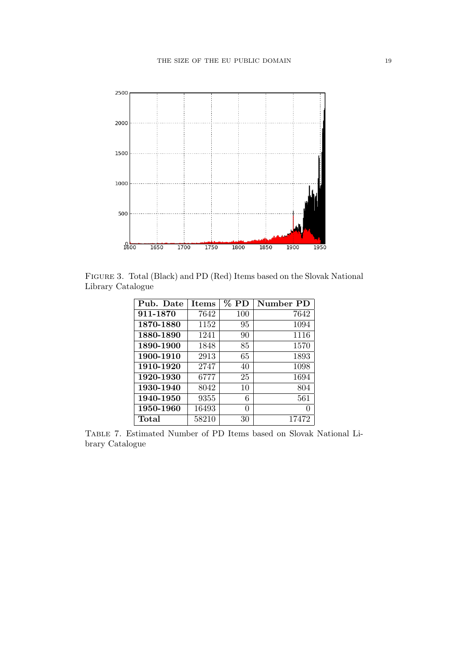

Figure 3. Total (Black) and PD (Red) Items based on the Slovak National Library Catalogue

| Pub. Date | <b>Items</b> | $\%$ PD | Number PD         |
|-----------|--------------|---------|-------------------|
| 911-1870  | 7642         | 100     | 7642              |
| 1870-1880 | 1152         | 95      | 1094              |
| 1880-1890 | 1241         | 90      | 1116              |
| 1890-1900 | 1848         | 85      | 1570              |
| 1900-1910 | 2913         | 65      | 1893              |
| 1910-1920 | 2747         | 40      | 1098              |
| 1920-1930 | 6777         | 25      | 1694              |
| 1930-1940 | 8042         | 10      | 804               |
| 1940-1950 | 9355         | 6       | 561               |
| 1950-1960 | 16493        | 0       | $\mathbf{\Omega}$ |
| Total     | 58210        | 30      | 17472             |

Table 7. Estimated Number of PD Items based on Slovak National Library Catalogue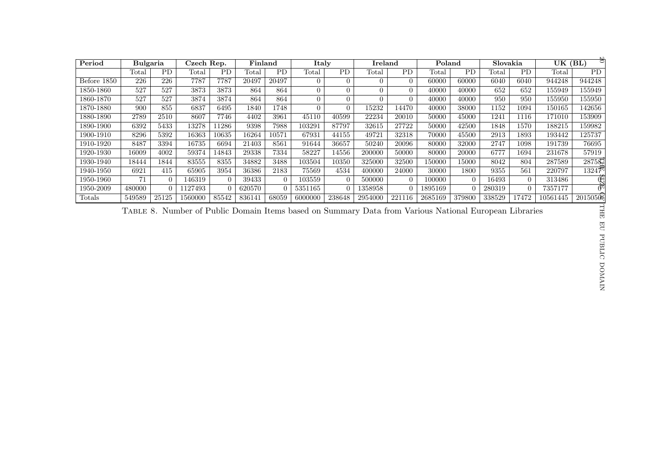| Period      | <b>Bulgaria</b> |           | Czech Rep. |          | Finland |           | Italy          |                | <b>Ireland</b> |                | Poland                                                                                                |          | Slovakia |                | $\overline{\text{UK (BL)}}$ | ಕ                   |
|-------------|-----------------|-----------|------------|----------|---------|-----------|----------------|----------------|----------------|----------------|-------------------------------------------------------------------------------------------------------|----------|----------|----------------|-----------------------------|---------------------|
|             | Total           | <b>PD</b> | Total      | PD       | Total   | <b>PD</b> | Total          | PD             | Total          | PD             | Total                                                                                                 | PD       | Total    | PD             | Total                       | PD                  |
| Before 1850 | 226             | 226       | 7787       | 7787     | 20497   | 20497     | $\overline{0}$ | $\theta$       | $\overline{0}$ | $\overline{0}$ | 60000                                                                                                 | 60000    | 6040     | 6040           | 944248                      | 944248              |
| 1850-1860   | 527             | 527       | 3873       | 3873     | 864     | 864       | $\overline{0}$ | $\Omega$       | $\overline{0}$ | $\theta$       | 40000                                                                                                 | 40000    | 652      | 652            | 155949                      | $155\overline{949}$ |
| 1860-1870   | 527             | 527       | 3874       | 3874     | 864     | 864       | $\overline{0}$ | $\Omega$       | $\Omega$       | $\Omega$       | 40000                                                                                                 | 40000    | 950      | 950            | 155950                      | 155950              |
| 1870-1880   | 900             | 855       | 6837       | 6495     | 1840    | 1748      | $\Omega$       | $\overline{0}$ | 15232          | 14470          | 40000                                                                                                 | 38000    | 1152     | 1094           | 150165                      | 142656              |
| 1880-1890   | 2789            | 2510      | 8607       | 7746     | 4402    | 3961      | 45110          | 40599          | 22234          | 20010          | 50000                                                                                                 | 45000    | 1241     | 1116           | 171010                      | 153909              |
| 1890-1900   | 6392            | 5433      | 13278      | 11286    | 9398    | 7988      | 103291         | 87797          | 32615          | 27722          | 50000                                                                                                 | 42500    | 1848     | 1570           | 188215                      | 159982              |
| 1900-1910   | 8296            | 5392      | 16363      | 10635    | 16264   | 10571     | 67931          | 44155          | 49721          | 32318          | 70000                                                                                                 | 45500    | 2913     | 1893           | 193442                      | 125737              |
| 1910-1920   | 8487            | 3394      | 16735      | 6694     | 21403   | 8561      | 91644          | 36657          | 50240          | 20096          | 80000                                                                                                 | 32000    | 2747     | 1098           | 191739                      | 76695               |
| 1920-1930   | 16009           | 4002      | 59374      | 14843    | 29338   | 7334      | 58227          | 14556          | 200000         | 50000          | 80000                                                                                                 | 20000    | 6777     | 1694           | 231678                      | 57919               |
| 1930-1940   | 18444           | 1844      | 83555      | 8355     | 34882   | 3488      | 103504         | 10350          | 325000         | 32500          | 150000                                                                                                | 15000    | 8042     | 804            | 287589                      | 2875纪               |
| 1940-1950   | 6921            | 415       | 65905      | 3954     | 36386   | 2183      | 75569          | 4534           | 400000         | 24000          | 30000                                                                                                 | 1800     | 9355     | 561            | 220797                      | 1324 $7^{\circ}$    |
| 1950-1960   | 71              | $\Omega$  | 146319     | $\Omega$ | 39433   | $\Omega$  | 103559         | $\Omega$       | 500000         | $\Omega$       | 100000                                                                                                | $\Omega$ | 16493    | $\overline{0}$ | 313486                      | $\mathbb{G}$        |
| 1950-2009   | 480000          | $\Omega$  | 1127493    |          | 620570  | $\Omega$  | 5351165        | $\theta$       | 1358958        | $\Omega$       | 1895169                                                                                               | $\Omega$ | 280319   | $\Omega$       | 7357177                     | $\Phi$              |
| Totals      | 549589          | 25125     | 1560000    | 85542    | 836141  | 68059     | 6000000        | 238648         | 2954000        | 221116         | 2685169                                                                                               | 379800   | 338529   | 17472          | 10561445                    | 201505              |
|             |                 |           |            |          |         |           |                |                |                |                | TABLE 8. Number of Public Domain Items based on Summary Data from Various National European Libraries |          |          |                |                             | THE                 |
|             |                 |           |            |          |         |           |                |                |                |                |                                                                                                       |          |          |                |                             | $\overline{H}$      |
|             |                 |           |            |          |         |           |                |                |                |                |                                                                                                       |          |          |                |                             | PUBLIC              |
|             |                 |           |            |          |         |           |                |                |                |                |                                                                                                       |          |          |                |                             | DOMAIN              |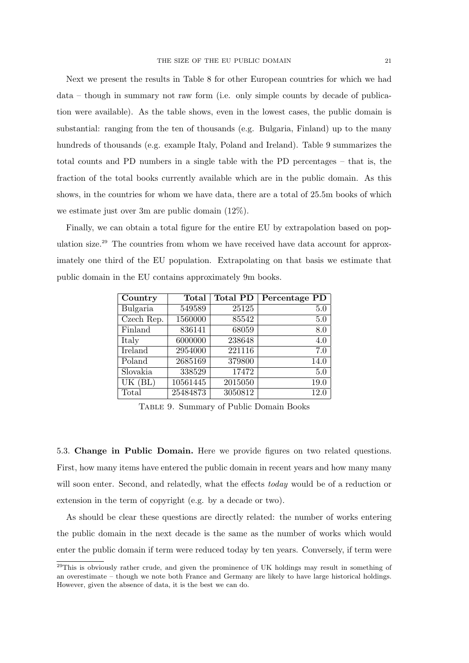Next we present the results in Table 8 for other European countries for which we had data – though in summary not raw form (i.e. only simple counts by decade of publication were available). As the table shows, even in the lowest cases, the public domain is substantial: ranging from the ten of thousands (e.g. Bulgaria, Finland) up to the many hundreds of thousands (e.g. example Italy, Poland and Ireland). Table 9 summarizes the total counts and PD numbers in a single table with the PD percentages – that is, the fraction of the total books currently available which are in the public domain. As this shows, in the countries for whom we have data, there are a total of 25.5m books of which we estimate just over 3m are public domain (12%).

Finally, we can obtain a total figure for the entire EU by extrapolation based on population size.<sup>29</sup> The countries from whom we have received have data account for approximately one third of the EU population. Extrapolating on that basis we estimate that public domain in the EU contains approximately 9m books.

| Country                        | Total    | <b>Total PD</b> | Percentage PD |
|--------------------------------|----------|-----------------|---------------|
| Bulgaria                       | 549589   | 25125           | 5.0           |
| $\overline{\text{Czech}}$ Rep. | 1560000  | 85542           | 5.0           |
| Finland                        | 836141   | 68059           | 8.0           |
| Italy                          | 6000000  | 238648          | 4.0           |
| Ireland                        | 2954000  | 221116          | 7.0           |
| Poland                         | 2685169  | 379800          | 14.0          |
| Slovakia                       | 338529   | 17472           | 5.0           |
| $\overline{\text{UK}}$ (BL)    | 10561445 | 2015050         | 19.0          |
| Total                          | 25484873 | 3050812         | 12.0          |

Table 9. Summary of Public Domain Books

5.3. Change in Public Domain. Here we provide figures on two related questions. First, how many items have entered the public domain in recent years and how many many will soon enter. Second, and relatedly, what the effects today would be of a reduction or extension in the term of copyright (e.g. by a decade or two).

As should be clear these questions are directly related: the number of works entering the public domain in the next decade is the same as the number of works which would enter the public domain if term were reduced today by ten years. Conversely, if term were

<sup>&</sup>lt;sup>29</sup>This is obviously rather crude, and given the prominence of UK holdings may result in something of an overestimate – though we note both France and Germany are likely to have large historical holdings. However, given the absence of data, it is the best we can do.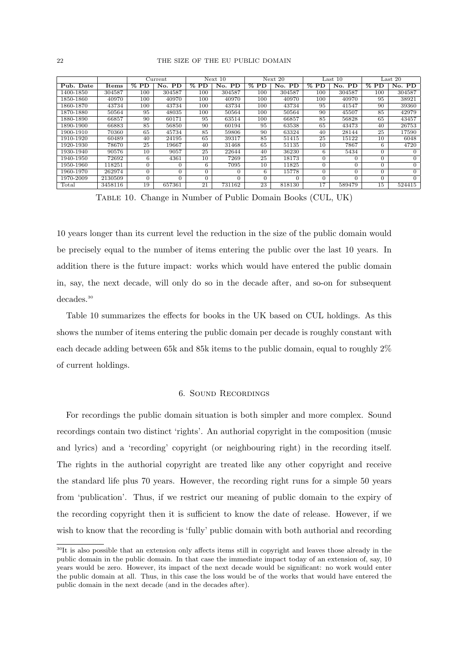|           |         |          | $\overline{\text{Current}}$ |                 | Next 10                |                       | Next 20  |        | Last $10$ |        | Last $20$      |
|-----------|---------|----------|-----------------------------|-----------------|------------------------|-----------------------|----------|--------|-----------|--------|----------------|
| Pub. Date | Items   | $%$ PD   | PD<br>No.                   | $%$ PD          | No.<br>$\overline{PD}$ | $\overline{\%}$<br>PD | No. PD   | $%$ PD | No. PD    | $%$ PD | No. PD         |
| 1400-1850 | 304587  | 100      | 304587                      | 100             | 304587                 | 100                   | 304587   | 100    | 304587    | 100    | 304587         |
| 1850-1860 | 40970   | 100      | 40970                       | 100             | 40970                  | 100                   | 40970    | 100    | 40970     | 95     | 38921          |
| 1860-1870 | 43734   | 100      | 43734                       | 100             | 43734                  | 100                   | 43734    | 95     | 41547     | 90     | 39360          |
| 1870-1880 | 50564   | 95       | 48035                       | 100             | 50564                  | 100                   | 50564    | 90     | 45507     | 85     | 42979          |
| 1880-1890 | 66857   | 90       | 60171                       | 95              | 63514                  | 100                   | 66857    | 85     | 56828     | 65     | 43457          |
| 1890-1900 | 66883   | 85       | 56850                       | 90              | 60194                  | 95                    | 63538    | 65     | 43473     | 40     | 26753          |
| 1900-1910 | 70360   | 65       | 45734                       | 85              | 59806                  | 90                    | 63324    | 40     | 28144     | 25     | 17590          |
| 1910-1920 | 60489   | 40       | 24195                       | 65              | 39317                  | 85                    | 51415    | 25     | 15122     | 10     | 6048           |
| 1920-1930 | 78670   | 25       | 19667                       | 40              | 31468                  | 65                    | 51135    | 10     | 7867      | 6.     | 4720           |
| 1930-1940 | 90576   | 10       | 9057                        | 25              | 22644                  | 40                    | 36230    | 6.     | 5434      |        |                |
| 1940-1950 | 72692   | 6        | 4361                        | 10              | 7269                   | 25                    | 18173    |        |           |        | $\Omega$       |
| 1950-1960 | 118251  | $\Omega$ | 0                           | 6               | 7095                   | 10                    | 11825    |        | $\Omega$  | 0      | $\overline{0}$ |
| 1960-1970 | 262974  | $\Omega$ | 0                           |                 | 0                      | 6                     | 15778    |        | 0         |        | $\Omega$       |
| 1970-2009 | 2130509 | $\Omega$ |                             |                 |                        |                       | $\Omega$ |        |           |        |                |
| Total     | 3458116 | 19       | 657361                      | $2\overline{1}$ | 731162                 | 23                    | 818130   | 17     | 589479    | 15     | 524415         |

Table 10. Change in Number of Public Domain Books (CUL, UK)

10 years longer than its current level the reduction in the size of the public domain would be precisely equal to the number of items entering the public over the last 10 years. In addition there is the future impact: works which would have entered the public domain in, say, the next decade, will only do so in the decade after, and so-on for subsequent decades.<sup>30</sup>

Table 10 summarizes the effects for books in the UK based on CUL holdings. As this shows the number of items entering the public domain per decade is roughly constant with each decade adding between 65k and 85k items to the public domain, equal to roughly 2% of current holdings.

## 6. Sound Recordings

For recordings the public domain situation is both simpler and more complex. Sound recordings contain two distinct 'rights'. An authorial copyright in the composition (music and lyrics) and a 'recording' copyright (or neighbouring right) in the recording itself. The rights in the authorial copyright are treated like any other copyright and receive the standard life plus 70 years. However, the recording right runs for a simple 50 years from 'publication'. Thus, if we restrict our meaning of public domain to the expiry of the recording copyright then it is sufficient to know the date of release. However, if we wish to know that the recording is 'fully' public domain with both authorial and recording

<sup>&</sup>lt;sup>30</sup>It is also possible that an extension only affects items still in copyright and leaves those already in the public domain in the public domain. In that case the immediate impact today of an extension of, say, 10 years would be zero. However, its impact of the next decade would be significant: no work would enter the public domain at all. Thus, in this case the loss would be of the works that would have entered the public domain in the next decade (and in the decades after).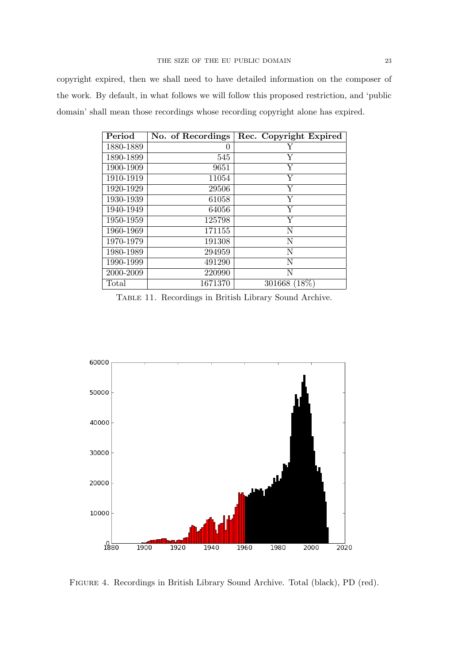copyright expired, then we shall need to have detailed information on the composer of the work. By default, in what follows we will follow this proposed restriction, and 'public domain' shall mean those recordings whose recording copyright alone has expired.

| Period    | No. of Recordings | Rec. Copyright Expired |
|-----------|-------------------|------------------------|
| 1880-1889 | 0                 | Y                      |
| 1890-1899 | 545               | Υ                      |
| 1900-1909 | 9651              | Υ                      |
| 1910-1919 | 11054             | Y                      |
| 1920-1929 | 29506             | Y                      |
| 1930-1939 | 61058             | Y                      |
| 1940-1949 | 64056             | Υ                      |
| 1950-1959 | 125798            | Y                      |
| 1960-1969 | 171155            | N                      |
| 1970-1979 | 191308            | $\mathbf N$            |
| 1980-1989 | 294959            | $\mathbf N$            |
| 1990-1999 | 491290            | N                      |
| 2000-2009 | 220990            | N                      |
| Total     | 1671370           | 301668 (18%)           |

Table 11. Recordings in British Library Sound Archive.



Figure 4. Recordings in British Library Sound Archive. Total (black), PD (red).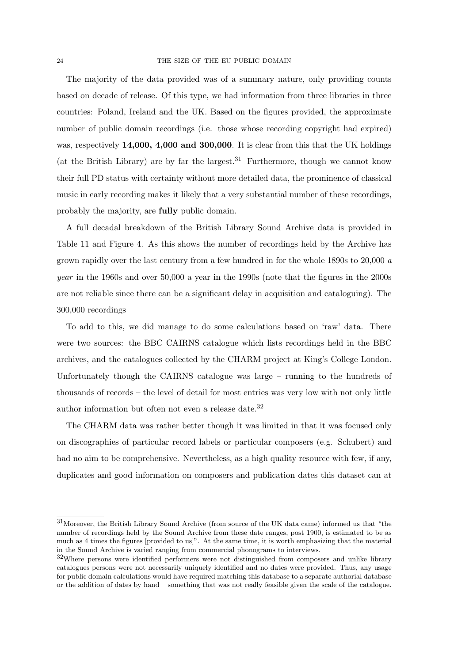The majority of the data provided was of a summary nature, only providing counts based on decade of release. Of this type, we had information from three libraries in three countries: Poland, Ireland and the UK. Based on the figures provided, the approximate number of public domain recordings (i.e. those whose recording copyright had expired) was, respectively 14,000, 4,000 and 300,000. It is clear from this that the UK holdings (at the British Library) are by far the largest.<sup>31</sup> Furthermore, though we cannot know their full PD status with certainty without more detailed data, the prominence of classical music in early recording makes it likely that a very substantial number of these recordings, probably the majority, are fully public domain.

A full decadal breakdown of the British Library Sound Archive data is provided in Table 11 and Figure 4. As this shows the number of recordings held by the Archive has grown rapidly over the last century from a few hundred in for the whole 1890s to 20,000 a year in the 1960s and over 50,000 a year in the 1990s (note that the figures in the 2000s are not reliable since there can be a significant delay in acquisition and cataloguing). The 300,000 recordings

To add to this, we did manage to do some calculations based on 'raw' data. There were two sources: the BBC CAIRNS catalogue which lists recordings held in the BBC archives, and the catalogues collected by the CHARM project at King's College London. Unfortunately though the CAIRNS catalogue was large – running to the hundreds of thousands of records – the level of detail for most entries was very low with not only little author information but often not even a release date.<sup>32</sup>

The CHARM data was rather better though it was limited in that it was focused only on discographies of particular record labels or particular composers (e.g. Schubert) and had no aim to be comprehensive. Nevertheless, as a high quality resource with few, if any, duplicates and good information on composers and publication dates this dataset can at

<sup>31</sup>Moreover, the British Library Sound Archive (from source of the UK data came) informed us that "the number of recordings held by the Sound Archive from these date ranges, post 1900, is estimated to be as much as 4 times the figures [provided to us]". At the same time, it is worth emphasizing that the material in the Sound Archive is varied ranging from commercial phonograms to interviews.

<sup>32</sup>Where persons were identified performers were not distinguished from composers and unlike library catalogues persons were not necessarily uniquely identified and no dates were provided. Thus, any usage for public domain calculations would have required matching this database to a separate authorial database or the addition of dates by hand – something that was not really feasible given the scale of the catalogue.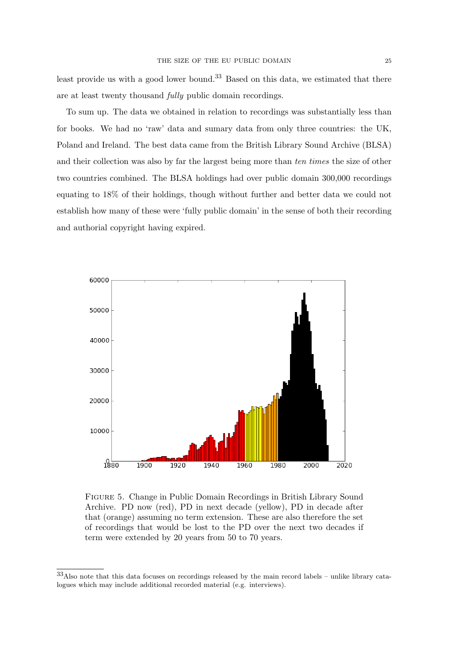least provide us with a good lower bound.<sup>33</sup> Based on this data, we estimated that there are at least twenty thousand fully public domain recordings.

To sum up. The data we obtained in relation to recordings was substantially less than for books. We had no 'raw' data and sumary data from only three countries: the UK, Poland and Ireland. The best data came from the British Library Sound Archive (BLSA) and their collection was also by far the largest being more than ten times the size of other two countries combined. The BLSA holdings had over public domain 300,000 recordings equating to 18% of their holdings, though without further and better data we could not establish how many of these were 'fully public domain' in the sense of both their recording and authorial copyright having expired.



Figure 5. Change in Public Domain Recordings in British Library Sound Archive. PD now (red), PD in next decade (yellow), PD in decade after that (orange) assuming no term extension. These are also therefore the set of recordings that would be lost to the PD over the next two decades if term were extended by 20 years from 50 to 70 years.

<sup>33</sup>Also note that this data focuses on recordings released by the main record labels – unlike library catalogues which may include additional recorded material (e.g. interviews).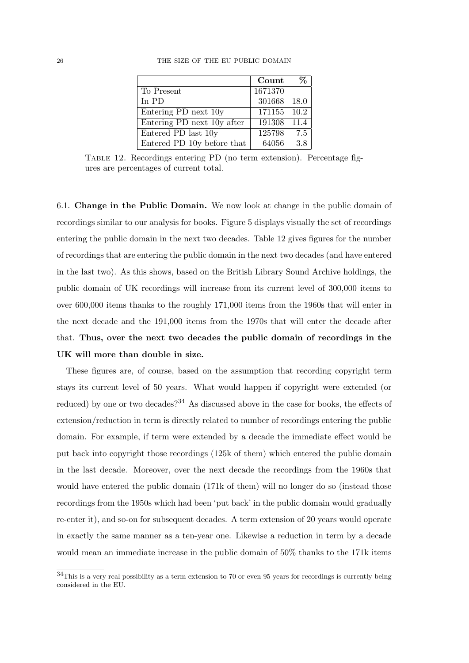|                            | Count   |                   |
|----------------------------|---------|-------------------|
| To Present                 | 1671370 |                   |
| In $PD$                    | 301668  | 18.0              |
| Entering PD next 10y       | 171155  | $\overline{10.2}$ |
| Entering PD next 10y after | 191308  | 11.4              |
| Entered PD last 10y        | 125798  | 7.5               |
| Entered PD 10y before that | 64056   | 38                |

26 THE SIZE OF THE EU PUBLIC DOMAIN

Table 12. Recordings entering PD (no term extension). Percentage figures are percentages of current total.

6.1. Change in the Public Domain. We now look at change in the public domain of recordings similar to our analysis for books. Figure 5 displays visually the set of recordings entering the public domain in the next two decades. Table 12 gives figures for the number of recordings that are entering the public domain in the next two decades (and have entered in the last two). As this shows, based on the British Library Sound Archive holdings, the public domain of UK recordings will increase from its current level of 300,000 items to over 600,000 items thanks to the roughly 171,000 items from the 1960s that will enter in the next decade and the 191,000 items from the 1970s that will enter the decade after that. Thus, over the next two decades the public domain of recordings in the UK will more than double in size.

These figures are, of course, based on the assumption that recording copyright term stays its current level of 50 years. What would happen if copyright were extended (or reduced) by one or two decades?<sup>34</sup> As discussed above in the case for books, the effects of extension/reduction in term is directly related to number of recordings entering the public domain. For example, if term were extended by a decade the immediate effect would be put back into copyright those recordings (125k of them) which entered the public domain in the last decade. Moreover, over the next decade the recordings from the 1960s that would have entered the public domain (171k of them) will no longer do so (instead those recordings from the 1950s which had been 'put back' in the public domain would gradually re-enter it), and so-on for subsequent decades. A term extension of 20 years would operate in exactly the same manner as a ten-year one. Likewise a reduction in term by a decade would mean an immediate increase in the public domain of 50% thanks to the 171k items

<sup>34</sup>This is a very real possibility as a term extension to 70 or even 95 years for recordings is currently being considered in the EU.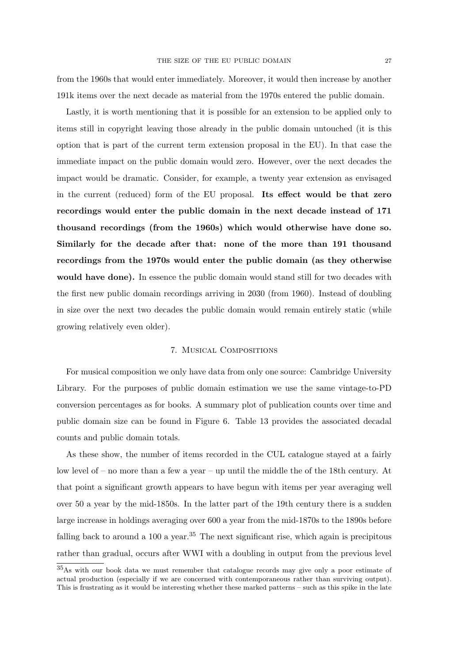from the 1960s that would enter immediately. Moreover, it would then increase by another 191k items over the next decade as material from the 1970s entered the public domain.

Lastly, it is worth mentioning that it is possible for an extension to be applied only to items still in copyright leaving those already in the public domain untouched (it is this option that is part of the current term extension proposal in the EU). In that case the immediate impact on the public domain would zero. However, over the next decades the impact would be dramatic. Consider, for example, a twenty year extension as envisaged in the current (reduced) form of the EU proposal. Its effect would be that zero recordings would enter the public domain in the next decade instead of 171 thousand recordings (from the 1960s) which would otherwise have done so. Similarly for the decade after that: none of the more than 191 thousand recordings from the 1970s would enter the public domain (as they otherwise would have done). In essence the public domain would stand still for two decades with the first new public domain recordings arriving in 2030 (from 1960). Instead of doubling in size over the next two decades the public domain would remain entirely static (while growing relatively even older).

## 7. Musical Compositions

For musical composition we only have data from only one source: Cambridge University Library. For the purposes of public domain estimation we use the same vintage-to-PD conversion percentages as for books. A summary plot of publication counts over time and public domain size can be found in Figure 6. Table 13 provides the associated decadal counts and public domain totals.

As these show, the number of items recorded in the CUL catalogue stayed at a fairly low level of – no more than a few a year – up until the middle the of the 18th century. At that point a significant growth appears to have begun with items per year averaging well over 50 a year by the mid-1850s. In the latter part of the 19th century there is a sudden large increase in holdings averaging over 600 a year from the mid-1870s to the 1890s before falling back to around a 100 a year.<sup>35</sup> The next significant rise, which again is precipitous rather than gradual, occurs after WWI with a doubling in output from the previous level

<sup>35</sup>As with our book data we must remember that catalogue records may give only a poor estimate of actual production (especially if we are concerned with contemporaneous rather than surviving output). This is frustrating as it would be interesting whether these marked patterns – such as this spike in the late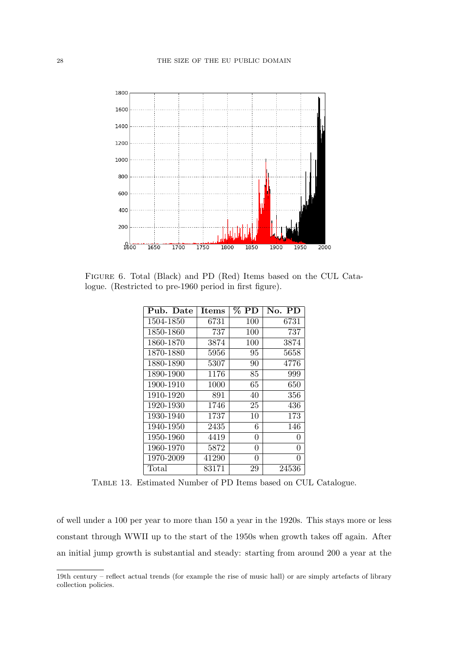

Figure 6. Total (Black) and PD (Red) Items based on the CUL Catalogue. (Restricted to pre-1960 period in first figure).

| Pub. Date | <b>Items</b> | $\%$ PD | No. PD       |
|-----------|--------------|---------|--------------|
| 1504-1850 | 6731         | 100     | 6731         |
| 1850-1860 | 737          | 100     | 737          |
| 1860-1870 | 3874         | 100     | 3874         |
| 1870-1880 | 5956         | 95      | 5658         |
| 1880-1890 | 5307         | 90      | 4776         |
| 1890-1900 | 1176         | 85      | 999          |
| 1900-1910 | 1000         | 65      | 650          |
| 1910-1920 | 891          | 40      | 356          |
| 1920-1930 | 1746         | 25      | 436          |
| 1930-1940 | 1737         | 10      | 173          |
| 1940-1950 | 2435         | 6       | 146          |
| 1950-1960 | 4419         | 0       | $\mathbf{0}$ |
| 1960-1970 | 5872         | 0       | 0            |
| 1970-2009 | 41290        | 0       | 0            |
| Total     | 83171        | 29      | 24536        |

Table 13. Estimated Number of PD Items based on CUL Catalogue.

of well under a 100 per year to more than 150 a year in the 1920s. This stays more or less constant through WWII up to the start of the 1950s when growth takes off again. After an initial jump growth is substantial and steady: starting from around 200 a year at the

<sup>19</sup>th century – reflect actual trends (for example the rise of music hall) or are simply artefacts of library collection policies.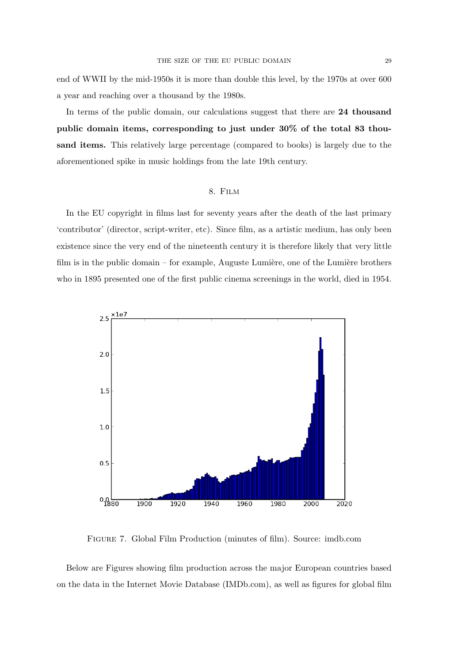end of WWII by the mid-1950s it is more than double this level, by the 1970s at over 600 a year and reaching over a thousand by the 1980s.

In terms of the public domain, our calculations suggest that there are 24 thousand public domain items, corresponding to just under 30% of the total 83 thousand items. This relatively large percentage (compared to books) is largely due to the aforementioned spike in music holdings from the late 19th century.

## 8. Film

In the EU copyright in films last for seventy years after the death of the last primary 'contributor' (director, script-writer, etc). Since film, as a artistic medium, has only been existence since the very end of the nineteenth century it is therefore likely that very little film is in the public domain – for example, Auguste Lumière, one of the Lumière brothers who in 1895 presented one of the first public cinema screenings in the world, died in 1954.



Figure 7. Global Film Production (minutes of film). Source: imdb.com

Below are Figures showing film production across the major European countries based on the data in the Internet Movie Database (IMDb.com), as well as figures for global film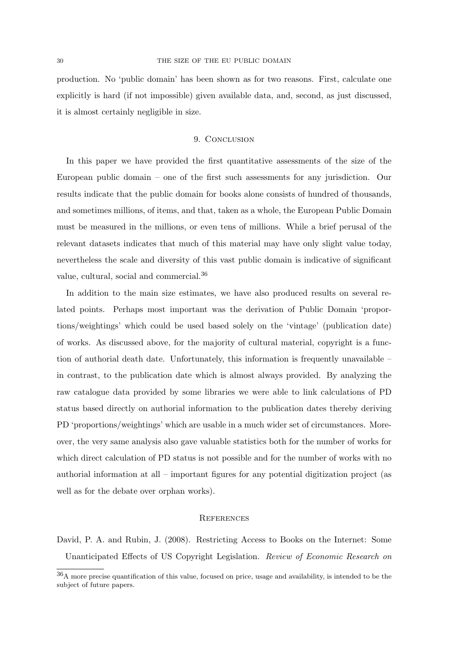production. No 'public domain' has been shown as for two reasons. First, calculate one explicitly is hard (if not impossible) given available data, and, second, as just discussed, it is almost certainly negligible in size.

#### 9. CONCLUSION

In this paper we have provided the first quantitative assessments of the size of the European public domain – one of the first such assessments for any jurisdiction. Our results indicate that the public domain for books alone consists of hundred of thousands, and sometimes millions, of items, and that, taken as a whole, the European Public Domain must be measured in the millions, or even tens of millions. While a brief perusal of the relevant datasets indicates that much of this material may have only slight value today, nevertheless the scale and diversity of this vast public domain is indicative of significant value, cultural, social and commercial.<sup>36</sup>

In addition to the main size estimates, we have also produced results on several related points. Perhaps most important was the derivation of Public Domain 'proportions/weightings' which could be used based solely on the 'vintage' (publication date) of works. As discussed above, for the majority of cultural material, copyright is a function of authorial death date. Unfortunately, this information is frequently unavailable – in contrast, to the publication date which is almost always provided. By analyzing the raw catalogue data provided by some libraries we were able to link calculations of PD status based directly on authorial information to the publication dates thereby deriving PD 'proportions/weightings' which are usable in a much wider set of circumstances. Moreover, the very same analysis also gave valuable statistics both for the number of works for which direct calculation of PD status is not possible and for the number of works with no authorial information at all – important figures for any potential digitization project (as well as for the debate over orphan works).

#### **REFERENCES**

David, P. A. and Rubin, J. (2008). Restricting Access to Books on the Internet: Some Unanticipated Effects of US Copyright Legislation. Review of Economic Research on

<sup>36</sup>A more precise quantification of this value, focused on price, usage and availability, is intended to be the subject of future papers.